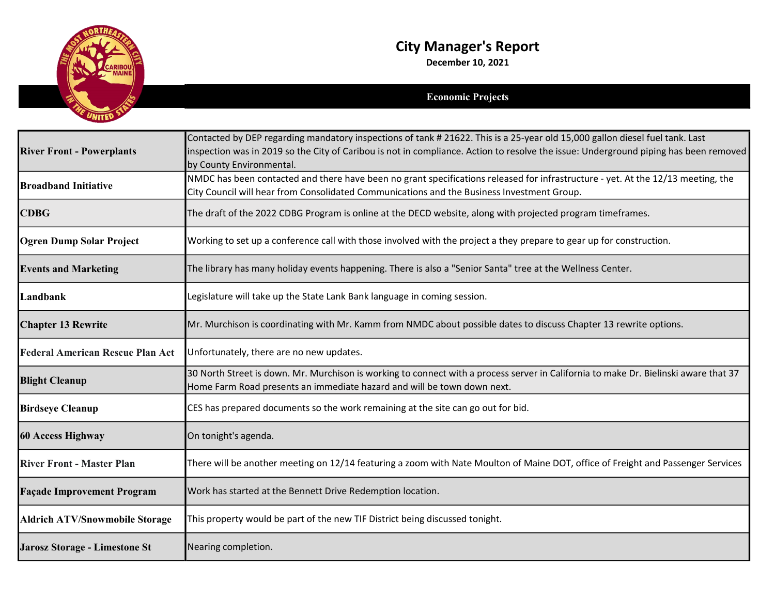

## City Manager's Report

December 10, 2021

## Economic Projects

|                                         | Contacted by DEP regarding mandatory inspections of tank # 21622. This is a 25-year old 15,000 gallon diesel fuel tank. Last                                                                                    |
|-----------------------------------------|-----------------------------------------------------------------------------------------------------------------------------------------------------------------------------------------------------------------|
| <b>River Front - Powerplants</b>        | inspection was in 2019 so the City of Caribou is not in compliance. Action to resolve the issue: Underground piping has been removed                                                                            |
|                                         | by County Environmental.                                                                                                                                                                                        |
| <b>Broadband Initiative</b>             | NMDC has been contacted and there have been no grant specifications released for infrastructure - yet. At the 12/13 meeting, the                                                                                |
|                                         | City Council will hear from Consolidated Communications and the Business Investment Group.                                                                                                                      |
| <b>CDBG</b>                             | The draft of the 2022 CDBG Program is online at the DECD website, along with projected program timeframes.                                                                                                      |
| <b>Ogren Dump Solar Project</b>         | Working to set up a conference call with those involved with the project a they prepare to gear up for construction.                                                                                            |
| <b>Events and Marketing</b>             | The library has many holiday events happening. There is also a "Senior Santa" tree at the Wellness Center.                                                                                                      |
| Landbank                                | Legislature will take up the State Lank Bank language in coming session.                                                                                                                                        |
| <b>Chapter 13 Rewrite</b>               | Mr. Murchison is coordinating with Mr. Kamm from NMDC about possible dates to discuss Chapter 13 rewrite options.                                                                                               |
| <b>Federal American Rescue Plan Act</b> | Unfortunately, there are no new updates.                                                                                                                                                                        |
| <b>Blight Cleanup</b>                   | 30 North Street is down. Mr. Murchison is working to connect with a process server in California to make Dr. Bielinski aware that 37<br>Home Farm Road presents an immediate hazard and will be town down next. |
| <b>Birdseye Cleanup</b>                 | CES has prepared documents so the work remaining at the site can go out for bid.                                                                                                                                |
| 60 Access Highway                       | On tonight's agenda.                                                                                                                                                                                            |
| <b>River Front - Master Plan</b>        | There will be another meeting on 12/14 featuring a zoom with Nate Moulton of Maine DOT, office of Freight and Passenger Services                                                                                |
| <b>Façade Improvement Program</b>       | Work has started at the Bennett Drive Redemption location.                                                                                                                                                      |
| <b>Aldrich ATV/Snowmobile Storage</b>   | This property would be part of the new TIF District being discussed tonight.                                                                                                                                    |
| Jarosz Storage - Limestone St           | Nearing completion.                                                                                                                                                                                             |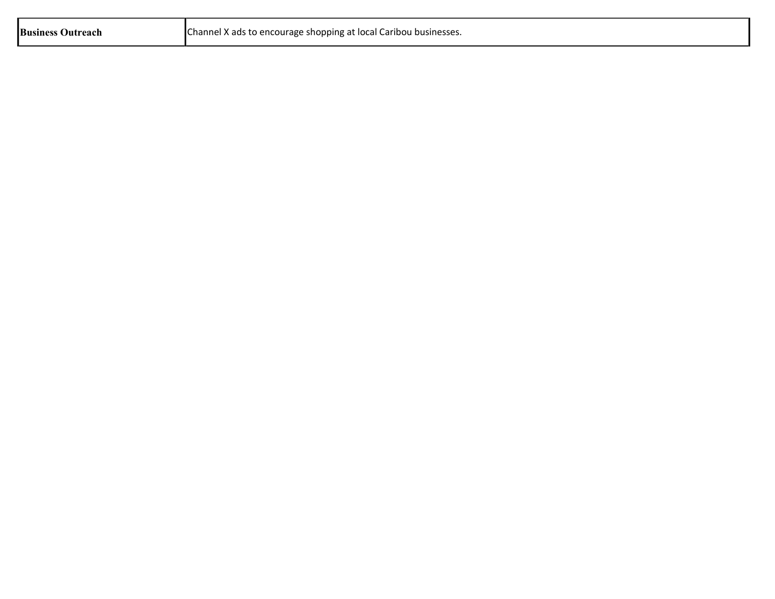| <b>Business Outreach</b> | Channel X ads to encourage shopping at local Caribou businesses. |
|--------------------------|------------------------------------------------------------------|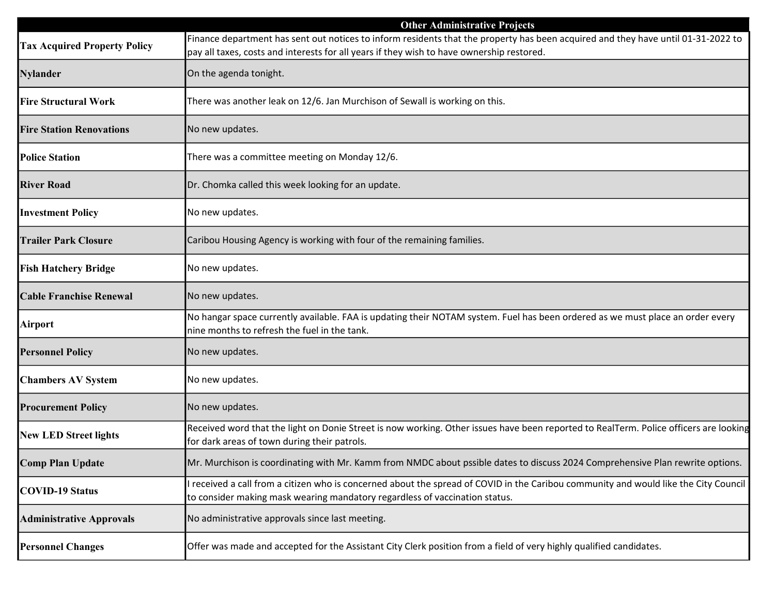|                                     | <b>Other Administrative Projects</b>                                                                                                                                                                                           |
|-------------------------------------|--------------------------------------------------------------------------------------------------------------------------------------------------------------------------------------------------------------------------------|
| <b>Tax Acquired Property Policy</b> | Finance department has sent out notices to inform residents that the property has been acquired and they have until 01-31-2022 to<br>pay all taxes, costs and interests for all years if they wish to have ownership restored. |
| <b>Nylander</b>                     | On the agenda tonight.                                                                                                                                                                                                         |
| <b>Fire Structural Work</b>         | There was another leak on 12/6. Jan Murchison of Sewall is working on this.                                                                                                                                                    |
| <b>Fire Station Renovations</b>     | No new updates.                                                                                                                                                                                                                |
| <b>Police Station</b>               | There was a committee meeting on Monday 12/6.                                                                                                                                                                                  |
| <b>River Road</b>                   | Dr. Chomka called this week looking for an update.                                                                                                                                                                             |
| <b>Investment Policy</b>            | No new updates.                                                                                                                                                                                                                |
| <b>Trailer Park Closure</b>         | Caribou Housing Agency is working with four of the remaining families.                                                                                                                                                         |
| <b>Fish Hatchery Bridge</b>         | No new updates.                                                                                                                                                                                                                |
| <b>Cable Franchise Renewal</b>      | No new updates.                                                                                                                                                                                                                |
| <b>Airport</b>                      | No hangar space currently available. FAA is updating their NOTAM system. Fuel has been ordered as we must place an order every<br>nine months to refresh the fuel in the tank.                                                 |
| <b>Personnel Policy</b>             | No new updates.                                                                                                                                                                                                                |
| <b>Chambers AV System</b>           | No new updates.                                                                                                                                                                                                                |
| <b>Procurement Policy</b>           | No new updates.                                                                                                                                                                                                                |
| <b>New LED Street lights</b>        | Received word that the light on Donie Street is now working. Other issues have been reported to RealTerm. Police officers are looking<br>for dark areas of town during their patrols.                                          |
| <b>Comp Plan Update</b>             | Mr. Murchison is coordinating with Mr. Kamm from NMDC about pssible dates to discuss 2024 Comprehensive Plan rewrite options.                                                                                                  |
| <b>COVID-19 Status</b>              | received a call from a citizen who is concerned about the spread of COVID in the Caribou community and would like the City Council<br>to consider making mask wearing mandatory regardless of vaccination status.              |
| <b>Administrative Approvals</b>     | No administrative approvals since last meeting.                                                                                                                                                                                |
| <b>Personnel Changes</b>            | Offer was made and accepted for the Assistant City Clerk position from a field of very highly qualified candidates.                                                                                                            |